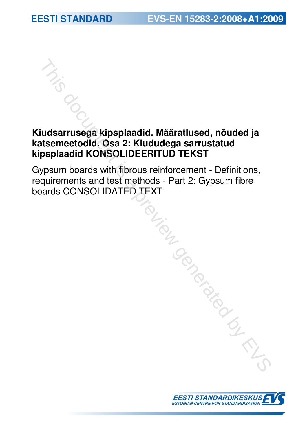# **Kiudsarrusega kipsplaadid. Määratlused, nõuded ja katsemeetodid. Osa 2: Kiududega sarrustatud kipsplaadid KONSOLIDEERITUD TEKST**

Gypsum boards with fibrous reinforcement - Definitions, requirements and test methods - Part 2: Gypsum fibre<br>boards CONSOLIDATED TEXT box and the series of the series of the series of the series of the series of the series consolidated as a consolidated by the splandid KONSOLIDEERITUD TEXT pour boards with fibrous reinforcement - Definitions, and test me

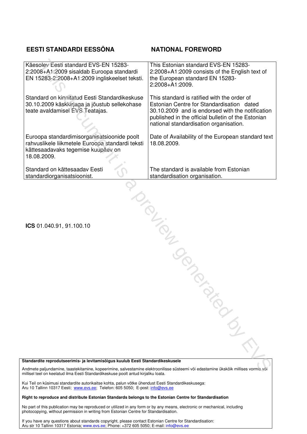# **EESTI STANDARDI EESSÕNA NATIONAL FOREWORD**

| Käesolev Eesti standard EVS-EN 15283-<br>2:2008+A1:2009 sisaldab Euroopa standardi<br>EN 15283-2:2008+A1:2009 ingliskeelset teksti.                  | This Estonian standard EVS-EN 15283-<br>2:2008+A1:2009 consists of the English text of<br>the European standard EN 15283-<br>2:2008+A1:2009.                                                                                                 |
|------------------------------------------------------------------------------------------------------------------------------------------------------|----------------------------------------------------------------------------------------------------------------------------------------------------------------------------------------------------------------------------------------------|
| Standard on kinnitatud Eesti Standardikeskuse<br>30.10.2009 käskkirjaga ja jõustub sellekohase<br>teate avaldamisel EVS Teatajas.                    | This standard is ratified with the order of<br>Estonian Centre for Standardisation dated<br>30.10.2009 and is endorsed with the notification<br>published in the official bulletin of the Estonian<br>national standardisation organisation. |
| Euroopa standardimisorganisatsioonide poolt<br>rahvuslikele liikmetele Euroopa standardi teksti<br>kättesaadavaks tegemise kuupäev on<br>18.08.2009. | Date of Availability of the European standard text<br>18.08.2009.                                                                                                                                                                            |
| Standard on kättesaadav Eesti<br>standardiorganisatsioonist.                                                                                         | The standard is available from Estonian<br>standardisation organisation.                                                                                                                                                                     |
| ICS 01.040.91, 91.100.10<br>Standardite reprodutseerimis- ja levitamisõigus kuulub Eesti Standardikeskusele                                          | <b>PROCESS</b>                                                                                                                                                                                                                               |
| Andmete paljundamine, taastekitamine, kopeerimine, salvestamine elektroonilisse süsteemi või edastamine ükskõik millises vormis või                  |                                                                                                                                                                                                                                              |

Andmete paljundamine, taastekitamine, kopeerimine, salvestamine elektroonilisse süsteemi või edastamine ükskõik millises vormis või millisel teel on keelatud ilma Eesti Standardikeskuse poolt antud kirjaliku loata.

Kui Teil on küsimusi standardite autorikaitse kohta, palun võtke ühendust Eesti Standardikeskusega: Aru 10 Tallinn 10317 Eesti; www.evs.ee; Telefon: 605 5050; E-post: info@evs.ee

### **Right to reproduce and distribute Estonian Standards belongs to the Estonian Centre for Standardisation**

No part of this publication may be reproduced or utilized in any form or by any means, electronic or mechanical, including photocopying, without permission in writing from Estonian Centre for Standardisation.

If you have any questions about standards copyright, please contact Estonian Centre for Standardisation: Aru str 10 Tallinn 10317 Estonia; www.evs.ee; Phone: +372 605 5050; E-mail: info@evs.ee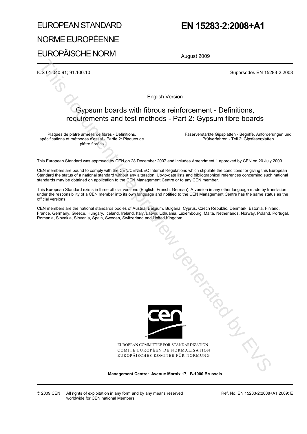# EUROPEAN STANDARD NORME EUROPÉENNE

EUROPÄISCHE NORM

# **EN 15283-2:2008+A1**

August 2009

ICS 01.040.91; 91.100.10 Supersedes EN 15283-2:2008

English Version

# Gypsum boards with fibrous reinforcement - Definitions, requirements and test methods - Part 2: Gypsum fibre boards

Plaques de plâtre armées de fibres - Définitions, spécifications et méthodes d'essai - Partie 2: Plaques de plâtre fibrées

 Faserverstärkte Gipsplatten - Begriffe, Anforderungen und Prüfverfahren - Teil 2: Gipsfaserplatten

This European Standard was approved by CEN on 28 December 2007 and includes Amendment 1 approved by CEN on 20 July 2009.

CEN members are bound to comply with the CEN/CENELEC Internal Regulations which stipulate the conditions for giving this European Standard the status of a national standard without any alteration. Up-to-date lists and bibliographical references concerning such national standards may be obtained on application to the CEN Management Centre or to any CEN member.

This European Standard exists in three official versions (English, French, German). A version in any other language made by translation under the responsibility of a CEN member into its own language and notified to the CEN Management Centre has the same status as the official versions.

CEN members are the national standards bodies of Austria, Belgium, Bulgaria, Cyprus, Czech Republic, Denmark, Estonia, Finland, France, Germany, Greece, Hungary, Iceland, Ireland, Italy, Latvia, Lithuania, Luxembourg, Malta, Netherlands, Norway, Poland, Portugal, Romania, Slovakia, Slovenia, Spain, Sweden, Switzerland and United Kingdom.



EUROPEAN COMMITTEE FOR STANDARDIZATION COMITÉ EUROPÉEN DE NORMALISATION EUROPÄISCHES KOMITEE FÜR NORMUNG Tangand Manuscript

**Management Centre: Avenue Marnix 17, B-1000 Brussels**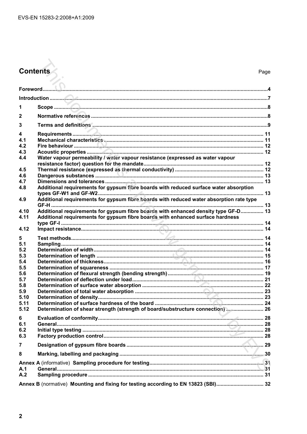# Contents

| 1              |                                                                                         |  |
|----------------|-----------------------------------------------------------------------------------------|--|
| $\mathbf{2}$   |                                                                                         |  |
| 3              |                                                                                         |  |
| 4              |                                                                                         |  |
| 4.1<br>4.2     |                                                                                         |  |
| 4.3            |                                                                                         |  |
| 4.4            | Water vapour permeability / water vapour resistance (expressed as water vapour          |  |
|                |                                                                                         |  |
| 4.5            |                                                                                         |  |
| 4.6            |                                                                                         |  |
| 4.7            |                                                                                         |  |
| 4.8            | Additional requirements for gypsum fibre boards with reduced surface water absorption   |  |
|                |                                                                                         |  |
| 4.9            | Additional requirements for gypsum fibre boards with reduced water absorption rate type |  |
|                |                                                                                         |  |
| 4.10           | Additional requirements for gypsum fibre boards with enhanced density type GF-D 13      |  |
| 4.11           | Additional requirements for gypsum fibre boards with enhanced surface hardness          |  |
|                |                                                                                         |  |
| 4.12           |                                                                                         |  |
| 5              |                                                                                         |  |
| 5.1            |                                                                                         |  |
| 5.2            |                                                                                         |  |
| 5.3            |                                                                                         |  |
| 5.4            |                                                                                         |  |
| 5.5            |                                                                                         |  |
| 5.6            |                                                                                         |  |
| 5.7            |                                                                                         |  |
| 5.8            |                                                                                         |  |
| 5.9            |                                                                                         |  |
| 5.10           |                                                                                         |  |
| 5.11           |                                                                                         |  |
| 5.12           | Determination of shear strength (strength of board/substructure connection)  26         |  |
| 6              | the contract of the contract of the contract of the contract of the contract of         |  |
| 6.1            |                                                                                         |  |
| 6.2            |                                                                                         |  |
| 6.3            |                                                                                         |  |
|                |                                                                                         |  |
| $\overline{7}$ |                                                                                         |  |
| 8              |                                                                                         |  |
|                |                                                                                         |  |
| A.1            |                                                                                         |  |
| A.2            |                                                                                         |  |
|                | Annex B (normative) Mounting and fixing for testing according to EN 13823 (SBI) 32      |  |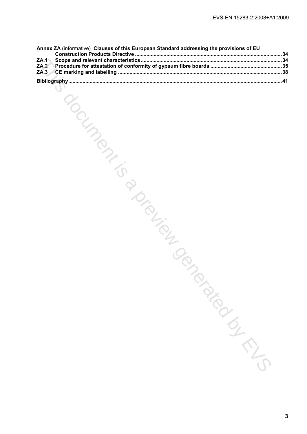| Annex ZA (informative) Clauses of this European Standard addressing the provisions of EU |  |
|------------------------------------------------------------------------------------------|--|
| ZA.1                                                                                     |  |
| ZA.2                                                                                     |  |
| ZA.3                                                                                     |  |
|                                                                                          |  |
|                                                                                          |  |
|                                                                                          |  |
| IDONNA DONNA                                                                             |  |
|                                                                                          |  |
|                                                                                          |  |
|                                                                                          |  |
|                                                                                          |  |
|                                                                                          |  |
|                                                                                          |  |
|                                                                                          |  |
|                                                                                          |  |
|                                                                                          |  |
|                                                                                          |  |
|                                                                                          |  |
|                                                                                          |  |
|                                                                                          |  |
|                                                                                          |  |
|                                                                                          |  |
|                                                                                          |  |
|                                                                                          |  |
|                                                                                          |  |
|                                                                                          |  |
|                                                                                          |  |
|                                                                                          |  |
|                                                                                          |  |
|                                                                                          |  |
|                                                                                          |  |
|                                                                                          |  |
|                                                                                          |  |
|                                                                                          |  |
|                                                                                          |  |
|                                                                                          |  |
|                                                                                          |  |
| TON BIGINAL                                                                              |  |
|                                                                                          |  |
|                                                                                          |  |
|                                                                                          |  |
|                                                                                          |  |
|                                                                                          |  |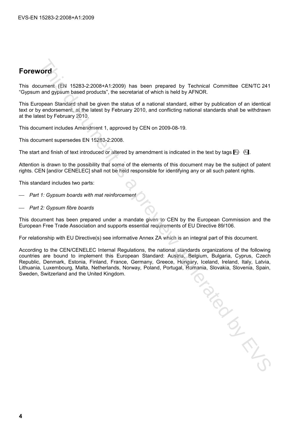# **Foreword**

This document (EN 15283-2:2008+A1:2009) has been prepared by Technical Committee CEN/TC 241 "Gypsum and gypsum based products", the secretariat of which is held by AFNOR.

This European Standard shall be given the status of a national standard, either by publication of an identical text or by endorsement, at the latest by February 2010, and conflicting national standards shall be withdrawn at the latest by February 2010.

This document includes Amendment 1, approved by CEN on 2009-08-19.

This document supersedes EN 15283-2:2008.

The start and finish of text introduced or altered by amendment is indicated in the text by tags  $\mathbb{A}_1$ .

Attention is drawn to the possibility that some of the elements of this document may be the subject of patent rights. CEN [and/or CENELEC] shall not be held responsible for identifying any or all such patent rights.

This standard includes two parts:

- *Part 1: Gypsum boards with mat reinforcement*
- *Part 2: Gypsum fibre boards*

This document has been prepared under a mandate given to CEN by the European Commission and the European Free Trade Association and supports essential requirements of EU Directive 89/106.

For relationship with EU Directive(s) see informative Annex ZA which is an integral part of this document.

According to the CEN/CENELEC Internal Regulations, the national standards organizations of the following countries are bound to implement this European Standard: Austria, Belgium, Bulgaria, Cyprus, Czech Republic, Denmark, Estonia, Finland, France, Germany, Greece, Hungary, Iceland, Ireland, Italy, Latvia, Lithuania, Luxembourg, Malta, Netherlands, Norway, Poland, Portugal, Romania, Slovakia, Slovenia, Spain, Sweden, Switzerland and the United Kingdom.

THIS DOCK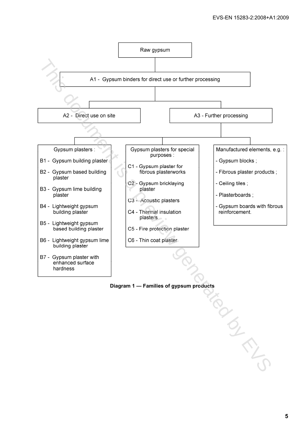

# **Diagram 1 — Families of gypsum products**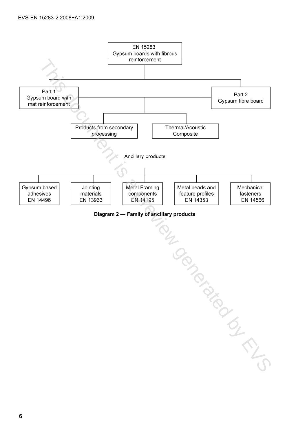

**Diagram 2 — Family of ancillary products**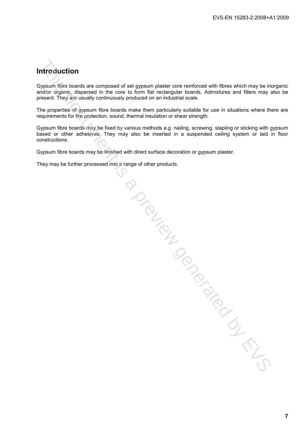# **Introduction**

Gypsum fibre boards are composed of set gypsum plaster core reinforced with fibres which may be inorganic and/or organic, dispersed in the core to form flat rectangular boards. Admixtures and fillers may also be present. They are usually continuously produced on an industrial scale.

The properties of gypsum fibre boards make them particularly suitable for use in situations where there are requirements for fire protection, sound, thermal insulation or shear strength.

Gypsum fibre boards may be fixed by various methods e.g. nailing, screwing, stapling or sticking with gypsum based or other adhesives. They may also be inserted in a suspended ceiling system or laid in floor constructions.

Gypsum fibre boards may be finished with direct surface decoration or gypsum plaster.

They may be further processed into a range of other products. The Contribution of the Contribution of the Contractor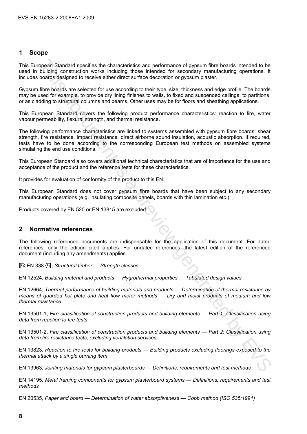# **1 Scope**

This European Standard specifies the characteristics and performance of gypsum fibre boards intended to be used in building construction works including those intended for secondary manufacturing operations. It includes boards designed to receive either direct surface decoration or gypsum plaster.

Gypsum fibre boards are selected for use according to their type, size, thickness and edge profile. The boards may be used for example, to provide dry lining finishes to walls, to fixed and suspended ceilings, to partitions, or as cladding to structural columns and beams. Other uses may be for floors and sheathing applications.

This European Standard covers the following product performance characteristics: reaction to fire, water vapour permeability, flexural strength, and thermal resistance.

The following performance characteristics are linked to systems assembled with gypsum fibre boards: shear strength, fire resistance, impact resistance, direct airborne sound insulation, acoustic absorption. If required, tests have to be done according to the corresponding European test methods on assembled systems simulating the end use conditions. opens Standard specifies the characteristics and performance of gypsum fixer boards intended to be<br>boards subsplacing response to the distinge theorem integral considers a previous objects. It<br>considers documents for the c

This European Standard also covers additional technical characteristics that are of importance for the use and acceptance of the product and the reference tests for these characteristics.

It provides for evaluation of conformity of the product to this EN.

This European Standard does not cover gypsum fibre boards that have been subject to any secondary manufacturing operations (e.g. insulating composite panels, boards with thin lamination etc.).

Products covered by EN 520 or EN 13815 are excluded.

# **2 Normative references**

The following referenced documents are indispensable for the application of this document. For dated references, only the edition cited applies. For undated references, the latest edition of the referenced document (including any amendments) applies.

**A) EN 338 (A), Structural timber — Strength classes** 

EN 12524, *Building material and products — Hygrothermal properties — Tabulated design values*

EN 12664, *Thermal performance of building materials and products — Determination of thermal resistance by means of guarded hot plate and heat flow meter methods — Dry and moist products of medium and low thermal resistance*

EN 13501-1, *Fire classification of construction products and building elements — Part 1: Classification using data from reaction to fire tests*

EN 13501-2, *Fire classification of construction products and building elements — Part 2: Classification using data from fire resistance tests, excluding ventilation services* 

EN 13823, *Reaction to fire tests for building products — Building products excluding floorings exposed to the thermal attack by a single burning item*

EN 13963, *Jointing materials for gypsum plasterboards — Definitions, requirements and test methods* 

EN 14195, *Metal framing components for gypsum plasterboard systems — Definitions, requirements and test methods* 

EN 20535, *Paper and board — Determination of water absorptiveness — Cobb method (ISO 535:1991)*